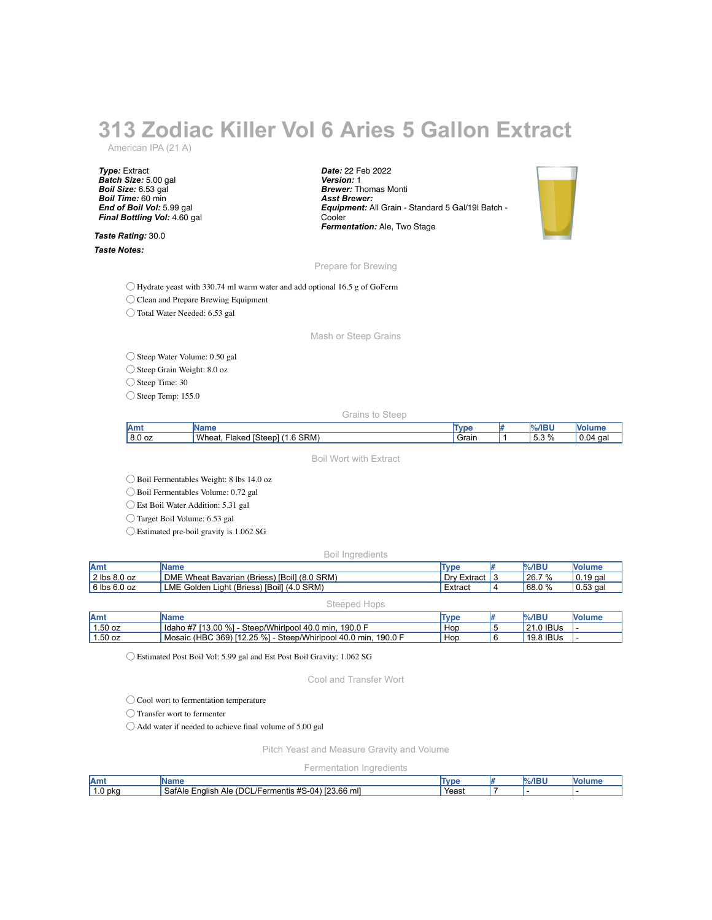# **313 Zodiac Killer Vol 6 Aries 5 Gallon Extract**

American IPA (21 A)

*Type:* Extract *Batch Size:* 5.00 gal *Boil Size:* 6.53 gal *Boil Time:* 60 min *End of Boil Vol:* 5.99 gal *Final Bottling Vol:* 4.60 gal

*Taste Rating:* 30.0 *Taste Notes:*

*Date:* 22 Feb 2022 *Version:* 1 *Brewer:* Thomas Monti *Asst Brewer: Equipment:* All Grain - Standard 5 Gal/19l Batch - Cooler *Fermentation:* Ale, Two Stage



#### Prepare for Brewing

◯ Hydrate yeast with 330.74 ml warm water and add optional 16.5 g of GoFerm

◯ Clean and Prepare Brewing Equipment

◯ Total Water Needed: 6.53 gal

Mash or Steep Grains

### ◯ Steep Water Volume: 0.50 gal

 $\bigcirc$  Steep Grain Weight: 8.0 oz

◯ Steep Time: 30

 $\bigcirc$  Steep Temp: 155.0

Grains to Steep

| .<br>ани | ---                                                                 | <b>VDE</b> | $\sim$ $\sim$ $\sim$<br>21. TV |                   |
|----------|---------------------------------------------------------------------|------------|--------------------------------|-------------------|
| 8.0 oz   | Wheat.<br>SRM <sup>®</sup><br>$-$<br>Stoon<br>Flake∈<br>- 11<br>. . | Grain      | $\sim$<br>∽<br>%<br>ن. ب       | ٠1<br>' U.L<br>ud |
|          |                                                                     |            |                                |                   |

Boil Wort with Extract

◯ Boil Fermentables Weight: 8 lbs 14.0 oz

◯ Boil Fermentables Volume: 0.72 gal

◯ Est Boil Water Addition: 5.31 gal

◯ Target Boil Volume: 6.53 gal

◯ Estimated pre-boil gravity is 1.062 SG

Boil Ingredients

| Amt          | <b>IName</b>                                 | Type        | <b>%/IBU</b> | <b>Nolume</b> |
|--------------|----------------------------------------------|-------------|--------------|---------------|
| 2 lbs 8.0 oz | DME Wheat Bavarian (Briess) [Boil] (8.0 SRM) | Dry Extract | 26.7 %       | $0.19$ gal    |
| 6 lbs 6.0 oz | LME Golden Light (Briess) [Boil] (4.0 SRM)   | Extract     | 68.0%        | $0.53$ gal    |

#### Steeped Hops

| <b>Am</b> | Name                                                                | Type | $%$ /IBU  | <b>Nolume</b> |
|-----------|---------------------------------------------------------------------|------|-----------|---------------|
| $1.50$ oz | ldaho #7 [13.00 %] -<br>.190.0 F<br>- Steep/Whirlpool 40.0 min.     | Hop  | 21.0 IBUs |               |
| 1.50 oz   | Mosaic (HBC 369) [12.25 %] - Steep/Whirlpool 40.0 min,<br>. 190.0 F | Hop  | 19.8 IBUs |               |

◯ Estimated Post Boil Vol: 5.99 gal and Est Post Boil Gravity: 1.062 SG

Cool and Transfer Wort

◯ Cool wort to fermentation temperature

◯ Transfer wort to fermenter

◯ Add water if needed to achieve final volume of 5.00 gal

Pitch Yeast and Measure Gravity and Volume

Fermentation Ingredients

| lAmt              | INan<br>тте                                                                                                                  | <b>TVDE</b> | 76/IP' | IVc |
|-------------------|------------------------------------------------------------------------------------------------------------------------------|-------------|--------|-----|
| $\sim$<br>1.0 pka | $\overline{\phantom{a}}$<br>$\cdots$<br>23.66<br>$\sim$<br>mll<br>SafAle<br>Ale<br>nalish<br>(04)<br>nentis<br>.<br>``<br>∼. | Yeast       |        |     |